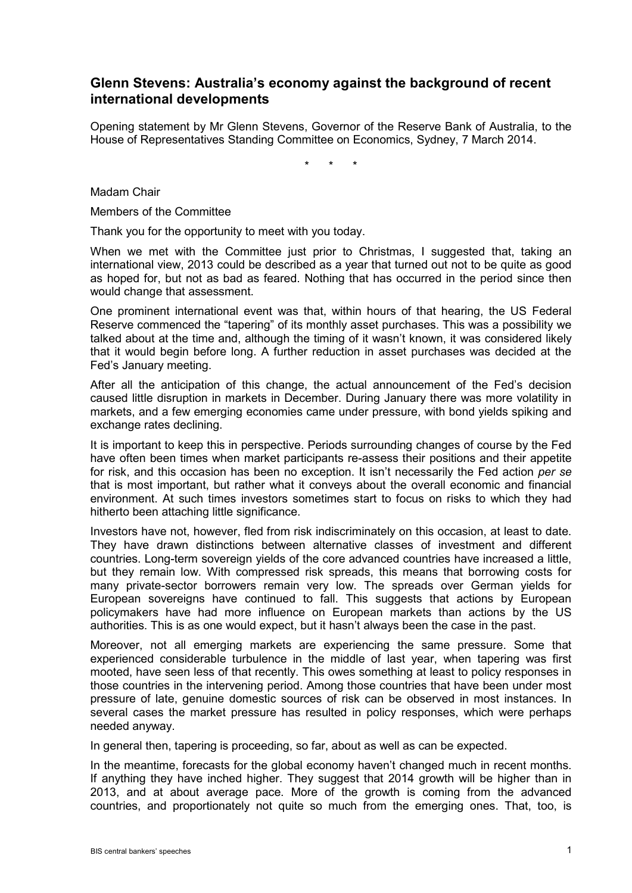## **Glenn Stevens: Australia's economy against the background of recent international developments**

Opening statement by Mr Glenn Stevens, Governor of the Reserve Bank of Australia, to the House of Representatives Standing Committee on Economics, Sydney, 7 March 2014.

\* \* \*

Madam Chair

Members of the Committee

Thank you for the opportunity to meet with you today.

When we met with the Committee just prior to Christmas, I suggested that, taking an international view, 2013 could be described as a year that turned out not to be quite as good as hoped for, but not as bad as feared. Nothing that has occurred in the period since then would change that assessment.

One prominent international event was that, within hours of that hearing, the US Federal Reserve commenced the "tapering" of its monthly asset purchases. This was a possibility we talked about at the time and, although the timing of it wasn't known, it was considered likely that it would begin before long. A further reduction in asset purchases was decided at the Fed's January meeting.

After all the anticipation of this change, the actual announcement of the Fed's decision caused little disruption in markets in December. During January there was more volatility in markets, and a few emerging economies came under pressure, with bond yields spiking and exchange rates declining.

It is important to keep this in perspective. Periods surrounding changes of course by the Fed have often been times when market participants re-assess their positions and their appetite for risk, and this occasion has been no exception. It isn't necessarily the Fed action *per se*  that is most important, but rather what it conveys about the overall economic and financial environment. At such times investors sometimes start to focus on risks to which they had hitherto been attaching little significance.

Investors have not, however, fled from risk indiscriminately on this occasion, at least to date. They have drawn distinctions between alternative classes of investment and different countries. Long-term sovereign yields of the core advanced countries have increased a little, but they remain low. With compressed risk spreads, this means that borrowing costs for many private-sector borrowers remain very low. The spreads over German yields for European sovereigns have continued to fall. This suggests that actions by European policymakers have had more influence on European markets than actions by the US authorities. This is as one would expect, but it hasn't always been the case in the past.

Moreover, not all emerging markets are experiencing the same pressure. Some that experienced considerable turbulence in the middle of last year, when tapering was first mooted, have seen less of that recently. This owes something at least to policy responses in those countries in the intervening period. Among those countries that have been under most pressure of late, genuine domestic sources of risk can be observed in most instances. In several cases the market pressure has resulted in policy responses, which were perhaps needed anyway.

In general then, tapering is proceeding, so far, about as well as can be expected.

In the meantime, forecasts for the global economy haven't changed much in recent months. If anything they have inched higher. They suggest that 2014 growth will be higher than in 2013, and at about average pace. More of the growth is coming from the advanced countries, and proportionately not quite so much from the emerging ones. That, too, is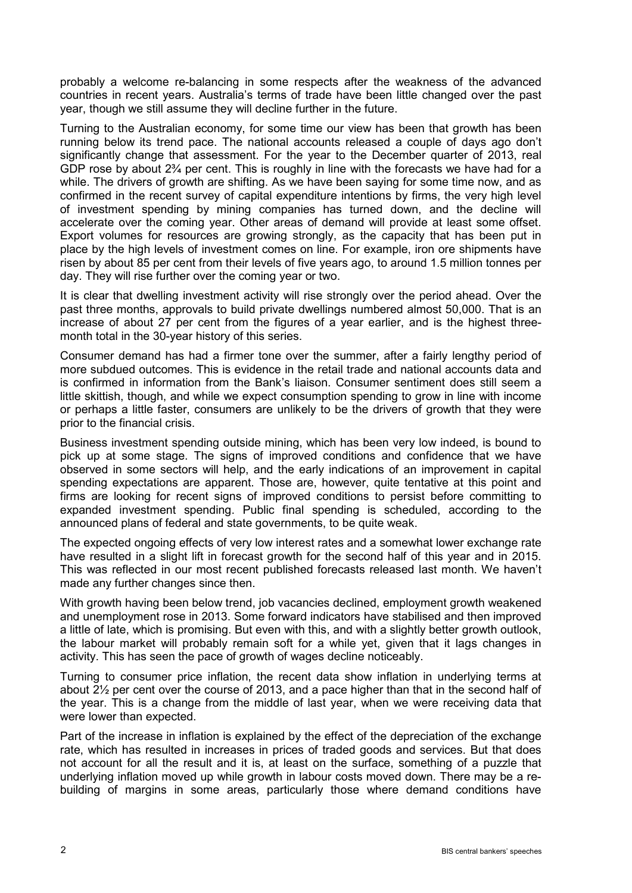probably a welcome re-balancing in some respects after the weakness of the advanced countries in recent years. Australia's terms of trade have been little changed over the past year, though we still assume they will decline further in the future.

Turning to the Australian economy, for some time our view has been that growth has been running below its trend pace. The national accounts released a couple of days ago don't significantly change that assessment. For the year to the December quarter of 2013, real GDP rose by about  $2\frac{3}{4}$  per cent. This is roughly in line with the forecasts we have had for a while. The drivers of growth are shifting. As we have been saying for some time now, and as confirmed in the recent survey of capital expenditure intentions by firms, the very high level of investment spending by mining companies has turned down, and the decline will accelerate over the coming year. Other areas of demand will provide at least some offset. Export volumes for resources are growing strongly, as the capacity that has been put in place by the high levels of investment comes on line. For example, iron ore shipments have risen by about 85 per cent from their levels of five years ago, to around 1.5 million tonnes per day. They will rise further over the coming year or two.

It is clear that dwelling investment activity will rise strongly over the period ahead. Over the past three months, approvals to build private dwellings numbered almost 50,000. That is an increase of about 27 per cent from the figures of a year earlier, and is the highest threemonth total in the 30-year history of this series.

Consumer demand has had a firmer tone over the summer, after a fairly lengthy period of more subdued outcomes. This is evidence in the retail trade and national accounts data and is confirmed in information from the Bank's liaison. Consumer sentiment does still seem a little skittish, though, and while we expect consumption spending to grow in line with income or perhaps a little faster, consumers are unlikely to be the drivers of growth that they were prior to the financial crisis.

Business investment spending outside mining, which has been very low indeed, is bound to pick up at some stage. The signs of improved conditions and confidence that we have observed in some sectors will help, and the early indications of an improvement in capital spending expectations are apparent. Those are, however, quite tentative at this point and firms are looking for recent signs of improved conditions to persist before committing to expanded investment spending. Public final spending is scheduled, according to the announced plans of federal and state governments, to be quite weak.

The expected ongoing effects of very low interest rates and a somewhat lower exchange rate have resulted in a slight lift in forecast growth for the second half of this year and in 2015. This was reflected in our most recent published forecasts released last month. We haven't made any further changes since then.

With growth having been below trend, job vacancies declined, employment growth weakened and unemployment rose in 2013. Some forward indicators have stabilised and then improved a little of late, which is promising. But even with this, and with a slightly better growth outlook, the labour market will probably remain soft for a while yet, given that it lags changes in activity. This has seen the pace of growth of wages decline noticeably.

Turning to consumer price inflation, the recent data show inflation in underlying terms at about 2½ per cent over the course of 2013, and a pace higher than that in the second half of the year. This is a change from the middle of last year, when we were receiving data that were lower than expected.

Part of the increase in inflation is explained by the effect of the depreciation of the exchange rate, which has resulted in increases in prices of traded goods and services. But that does not account for all the result and it is, at least on the surface, something of a puzzle that underlying inflation moved up while growth in labour costs moved down. There may be a rebuilding of margins in some areas, particularly those where demand conditions have